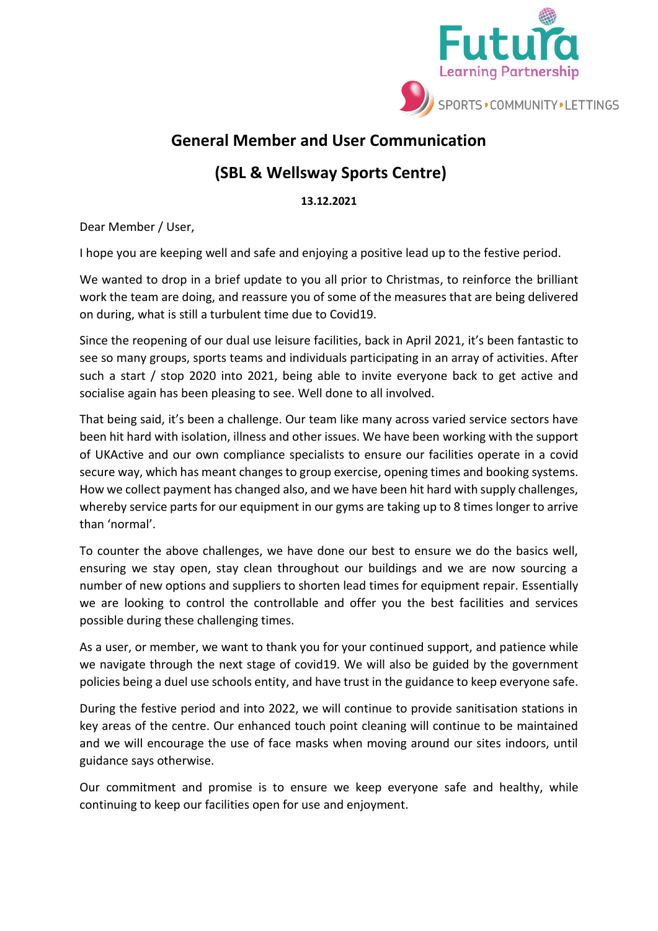

## **General Member and User Communication**

## **(SBL & Wellsway Sports Centre)**

**13.12.2021**

Dear Member / User,

I hope you are keeping well and safe and enjoying a positive lead up to the festive period.

We wanted to drop in a brief update to you all prior to Christmas, to reinforce the brilliant work the team are doing, and reassure you of some of the measures that are being delivered on during, what is still a turbulent time due to Covid19.

Since the reopening of our dual use leisure facilities, back in April 2021, it's been fantastic to see so many groups, sports teams and individuals participating in an array of activities. After such a start / stop 2020 into 2021, being able to invite everyone back to get active and socialise again has been pleasing to see. Well done to all involved.

That being said, it's been a challenge. Our team like many across varied service sectors have been hit hard with isolation, illness and other issues. We have been working with the support of UKActive and our own compliance specialists to ensure our facilities operate in a covid secure way, which has meant changes to group exercise, opening times and booking systems. How we collect payment has changed also, and we have been hit hard with supply challenges, whereby service parts for our equipment in our gyms are taking up to 8 times longer to arrive than 'normal'.

To counter the above challenges, we have done our best to ensure we do the basics well, ensuring we stay open, stay clean throughout our buildings and we are now sourcing a number of new options and suppliers to shorten lead times for equipment repair. Essentially we are looking to control the controllable and offer you the best facilities and services possible during these challenging times.

As a user, or member, we want to thank you for your continued support, and patience while we navigate through the next stage of covid19. We will also be guided by the government policies being a duel use schools entity, and have trust in the guidance to keep everyone safe.

During the festive period and into 2022, we will continue to provide sanitisation stations in key areas of the centre. Our enhanced touch point cleaning will continue to be maintained and we will encourage the use of face masks when moving around our sites indoors, until guidance says otherwise.

Our commitment and promise is to ensure we keep everyone safe and healthy, while continuing to keep our facilities open for use and enjoyment.